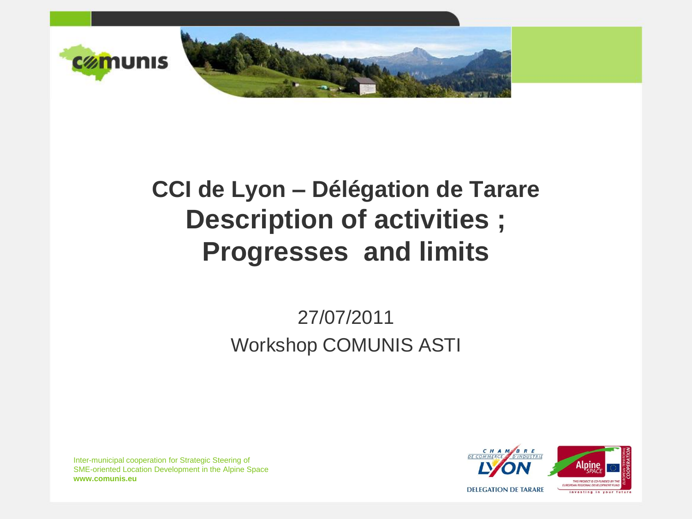

## **CCI de Lyon – Délégation de Tarare Description of activities ; Progresses and limits**

### 27/07/2011 Workshop COMUNIS ASTI

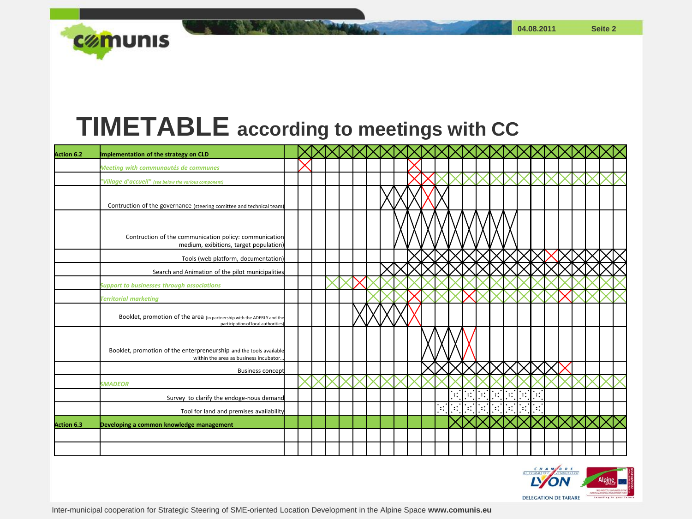**04.08.2011 Seite 2**



### **TIMETABLE according to meetings with CC**

| <b>Action 6.2</b> | Implementation of the strategy on CLD                                                                         |  |  |  |  |  |                |       |               |                |        |              |               |          |  |  |  |
|-------------------|---------------------------------------------------------------------------------------------------------------|--|--|--|--|--|----------------|-------|---------------|----------------|--------|--------------|---------------|----------|--|--|--|
|                   | Meeting with communautés de communes                                                                          |  |  |  |  |  |                |       |               |                |        |              |               |          |  |  |  |
|                   | "Village d'accueil" (see below the various component)                                                         |  |  |  |  |  |                |       |               |                |        |              |               |          |  |  |  |
|                   | Contruction of the governance (steering comittee and technical team)                                          |  |  |  |  |  |                |       |               |                |        |              |               |          |  |  |  |
|                   | Contruction of the communication policy: communication<br>medium, exibitions, target population)              |  |  |  |  |  |                |       |               |                |        |              |               |          |  |  |  |
|                   | Tools (web platform, documentation)                                                                           |  |  |  |  |  |                |       |               |                |        |              |               |          |  |  |  |
|                   | Search and Animation of the pilot municipalities                                                              |  |  |  |  |  |                |       |               |                |        |              |               |          |  |  |  |
|                   | <b>Support to businesses through associations</b>                                                             |  |  |  |  |  |                |       |               |                |        |              |               |          |  |  |  |
|                   | <b>Territorial marketing</b>                                                                                  |  |  |  |  |  |                |       |               |                |        |              |               |          |  |  |  |
|                   | Booklet, promotion of the area (in partnership with the ADERLY and the<br>participation of local authorities) |  |  |  |  |  |                |       |               |                |        |              |               |          |  |  |  |
|                   | Booklet, promotion of the enterpreneurship and the tools available<br>within the area as business incubator   |  |  |  |  |  |                |       |               |                |        |              |               |          |  |  |  |
|                   | <b>Business concept</b>                                                                                       |  |  |  |  |  |                |       |               |                |        |              |               |          |  |  |  |
|                   | <b>SMADEOR</b>                                                                                                |  |  |  |  |  |                |       |               |                |        |              |               |          |  |  |  |
|                   | Survey to clarify the endoge-nous demand                                                                      |  |  |  |  |  |                |       | Ħ             |                | ∵:     | $\mathbf{H}$ | ٠.            | $\ddots$ |  |  |  |
|                   | Tool for land and premises availability                                                                       |  |  |  |  |  | $\mathbb{R}^2$ | isti. | $\mathcal{L}$ | $\mathbb{R}^n$ | $\sim$ | $\mathbf{H}$ | $\mathcal{L}$ |          |  |  |  |
| <b>Action 6.3</b> | Developing a common knowledge management                                                                      |  |  |  |  |  |                |       |               |                |        |              |               |          |  |  |  |
|                   |                                                                                                               |  |  |  |  |  |                |       |               |                |        |              |               |          |  |  |  |
|                   |                                                                                                               |  |  |  |  |  |                |       |               |                |        |              |               |          |  |  |  |

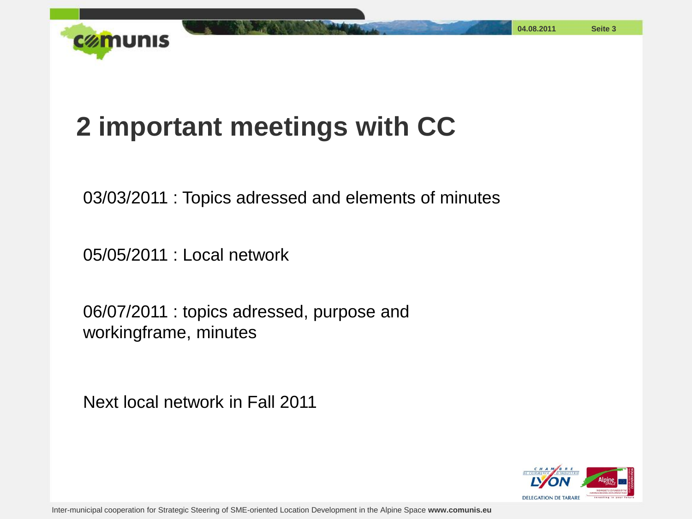

# **2 important meetings with CC**

03/03/2011 : Topics adressed and elements of minutes

05/05/2011 : Local network

06/07/2011 : topics adressed, purpose and workingframe, minutes

Next local network in Fall 2011

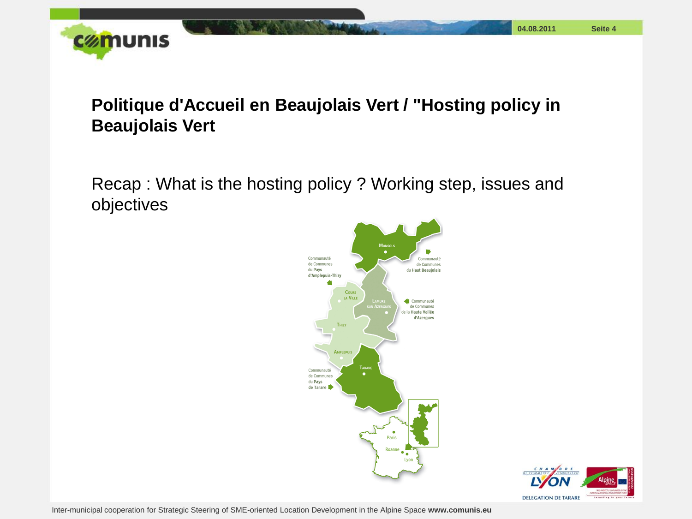

#### **Politique d'Accueil en Beaujolais Vert / "Hosting policy in Beaujolais Vert**

Recap : What is the hosting policy ? Working step, issues and objectives



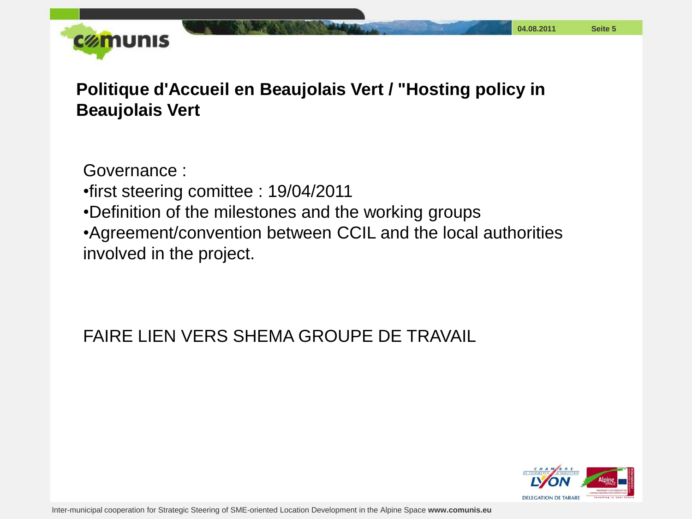

**Politique d'Accueil en Beaujolais Vert / "Hosting policy in Beaujolais Vert**

Governance : •first steering comittee : 19/04/2011 •Definition of the milestones and the working groups •Agreement/convention between CCIL and the local authorities involved in the project.

#### FAIRE LIEN VERS SHEMA GROUPE DE TRAVAIL

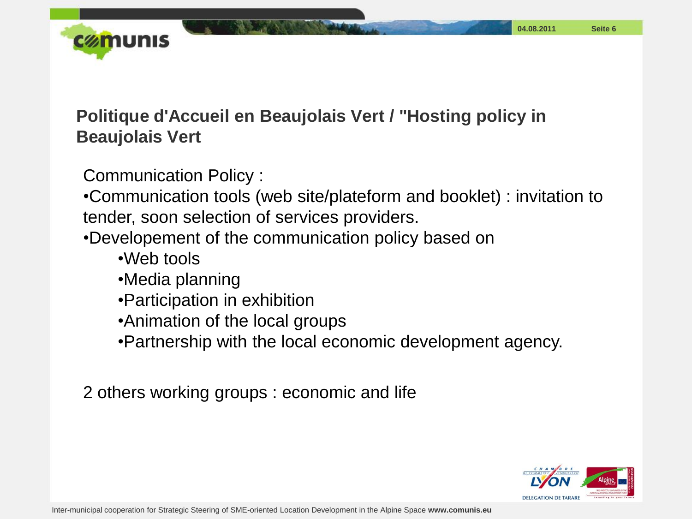

#### **Politique d'Accueil en Beaujolais Vert / "Hosting policy in Beaujolais Vert**

Communication Policy :

•Communication tools (web site/plateform and booklet) : invitation to tender, soon selection of services providers.

•Developement of the communication policy based on

- •Web tools
- •Media planning
- •Participation in exhibition
- •Animation of the local groups
- •Partnership with the local economic development agency.

2 others working groups : economic and life

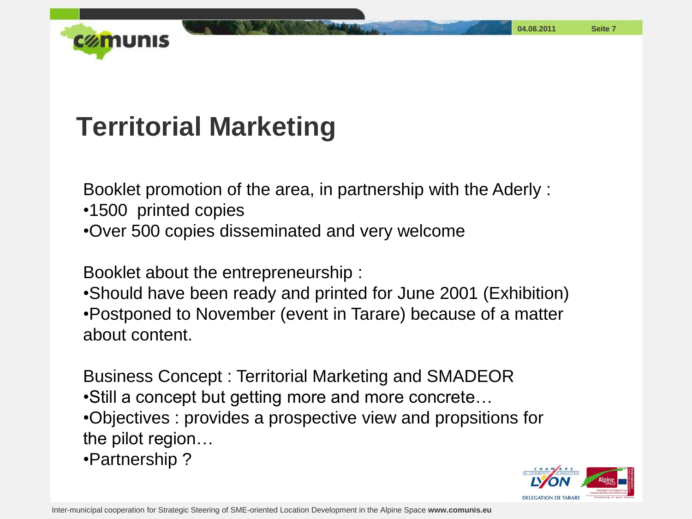

# **Territorial Marketing**

Booklet promotion of the area, in partnership with the Aderly :

•1500 printed copies

•Over 500 copies disseminated and very welcome

Booklet about the entrepreneurship :

•Should have been ready and printed for June 2001 (Exhibition) •Postponed to November (event in Tarare) because of a matter about content.

Business Concept : Territorial Marketing and SMADEOR •Still a concept but getting more and more concrete… •Objectives : provides a prospective view and propsitions for the pilot region…

•Partnership ?